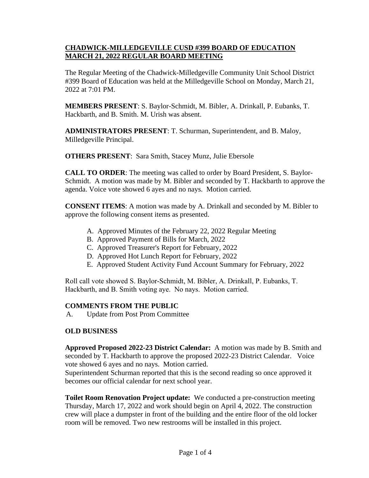## **CHADWICK-MILLEDGEVILLE CUSD #399 BOARD OF EDUCATION MARCH 21, 2022 REGULAR BOARD MEETING**

The Regular Meeting of the Chadwick-Milledgeville Community Unit School District #399 Board of Education was held at the Milledgeville School on Monday, March 21, 2022 at 7:01 PM.

**MEMBERS PRESENT**: S. Baylor-Schmidt, M. Bibler, A. Drinkall, P. Eubanks, T. Hackbarth, and B. Smith. M. Urish was absent.

**ADMINISTRATORS PRESENT**: T. Schurman, Superintendent, and B. Maloy, Milledgeville Principal.

**OTHERS PRESENT**: Sara Smith, Stacey Munz, Julie Ebersole

**CALL TO ORDER**: The meeting was called to order by Board President, S. Baylor-Schmidt. A motion was made by M. Bibler and seconded by T. Hackbarth to approve the agenda. Voice vote showed 6 ayes and no nays. Motion carried.

**CONSENT ITEMS**: A motion was made by A. Drinkall and seconded by M. Bibler to approve the following consent items as presented.

- A. Approved Minutes of the February 22, 2022 Regular Meeting
- B. Approved Payment of Bills for March, 2022
- C. Approved Treasurer's Report for February, 2022
- D. Approved Hot Lunch Report for February, 2022
- E. Approved Student Activity Fund Account Summary for February, 2022

Roll call vote showed S. Baylor-Schmidt, M. Bibler, A. Drinkall, P. Eubanks, T. Hackbarth, and B. Smith voting aye. No nays. Motion carried.

#### **COMMENTS FROM THE PUBLIC**

A. Update from Post Prom Committee

#### **OLD BUSINESS**

**Approved Proposed 2022-23 District Calendar:** A motion was made by B. Smith and seconded by T. Hackbarth to approve the proposed 2022-23 District Calendar. Voice vote showed 6 ayes and no nays. Motion carried.

Superintendent Schurman reported that this is the second reading so once approved it becomes our official calendar for next school year.

**Toilet Room Renovation Project update:** We conducted a pre-construction meeting Thursday, March 17, 2022 and work should begin on April 4, 2022. The construction crew will place a dumpster in front of the building and the entire floor of the old locker room will be removed. Two new restrooms will be installed in this project.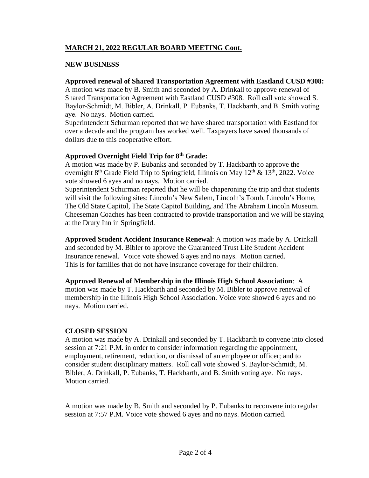# **MARCH 21, 2022 REGULAR BOARD MEETING Cont.**

## **NEW BUSINESS**

## **Approved renewal of Shared Transportation Agreement with Eastland CUSD #308:**

A motion was made by B. Smith and seconded by A. Drinkall to approve renewal of Shared Transportation Agreement with Eastland CUSD #308. Roll call vote showed S. Baylor-Schmidt, M. Bibler, A. Drinkall, P. Eubanks, T. Hackbarth, and B. Smith voting aye. No nays. Motion carried.

Superintendent Schurman reported that we have shared transportation with Eastland for over a decade and the program has worked well. Taxpayers have saved thousands of dollars due to this cooperative effort.

### **Approved Overnight Field Trip for 8th Grade:**

A motion was made by P. Eubanks and seconded by T. Hackbarth to approve the overnight  $8<sup>th</sup>$  Grade Field Trip to Springfield, Illinois on May  $12<sup>th</sup>$  &  $13<sup>th</sup>$ , 2022. Voice vote showed 6 ayes and no nays. Motion carried.

Superintendent Schurman reported that he will be chaperoning the trip and that students will visit the following sites: Lincoln's New Salem, Lincoln's Tomb, Lincoln's Home, The Old State Capitol, The State Capitol Building, and The Abraham Lincoln Museum. Cheeseman Coaches has been contracted to provide transportation and we will be staying at the Drury Inn in Springfield.

**Approved Student Accident Insurance Renewal**: A motion was made by A. Drinkall and seconded by M. Bibler to approve the Guaranteed Trust Life Student Accident Insurance renewal. Voice vote showed 6 ayes and no nays. Motion carried. This is for families that do not have insurance coverage for their children.

**Approved Renewal of Membership in the Illinois High School Association**: A motion was made by T. Hackbarth and seconded by M. Bibler to approve renewal of membership in the Illinois High School Association. Voice vote showed 6 ayes and no nays. Motion carried.

#### **CLOSED SESSION**

A motion was made by A. Drinkall and seconded by T. Hackbarth to convene into closed session at 7:21 P.M. in order to consider information regarding the appointment, employment, retirement, reduction, or dismissal of an employee or officer; and to consider student disciplinary matters. Roll call vote showed S. Baylor-Schmidt, M. Bibler, A. Drinkall, P. Eubanks, T. Hackbarth, and B. Smith voting aye. No nays. Motion carried.

A motion was made by B. Smith and seconded by P. Eubanks to reconvene into regular session at 7:57 P.M. Voice vote showed 6 ayes and no nays. Motion carried.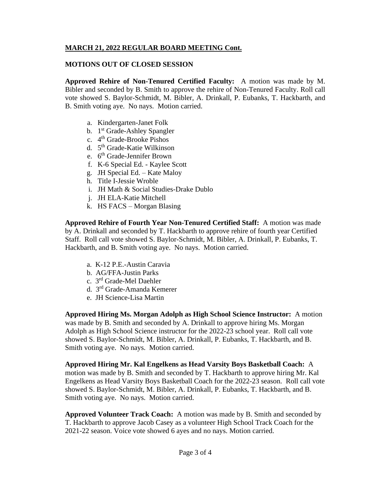# **MARCH 21, 2022 REGULAR BOARD MEETING Cont.**

## **MOTIONS OUT OF CLOSED SESSION**

**Approved Rehire of Non-Tenured Certified Faculty:** A motion was made by M. Bibler and seconded by B. Smith to approve the rehire of Non-Tenured Faculty. Roll call vote showed S. Baylor-Schmidt, M. Bibler, A. Drinkall, P. Eubanks, T. Hackbarth, and B. Smith voting aye. No nays. Motion carried.

- a. Kindergarten-Janet Folk
- b. 1<sup>st</sup> Grade-Ashley Spangler
- c. 4<sup>th</sup> Grade-Brooke Pishos
- d. 5<sup>th</sup> Grade-Katie Wilkinson
- e. 6<sup>th</sup> Grade-Jennifer Brown
- f. K-6 Special Ed. Kaylee Scott
- g. JH Special Ed. Kate Maloy
- h. Title I-Jessie Wroble
- i. JH Math & Social Studies-Drake Dublo
- j. JH ELA-Katie Mitchell
- k. HS FACS Morgan Blasing

**Approved Rehire of Fourth Year Non-Tenured Certified Staff:** A motion was made by A. Drinkall and seconded by T. Hackbarth to approve rehire of fourth year Certified Staff. Roll call vote showed S. Baylor-Schmidt, M. Bibler, A. Drinkall, P. Eubanks, T. Hackbarth, and B. Smith voting aye. No nays. Motion carried.

- a. K-12 P.E.-Austin Caravia
- b. AG/FFA-Justin Parks
- c. 3 rd Grade-Mel Daehler
- d. 3 rd Grade-Amanda Kemerer
- e. JH Science-Lisa Martin

**Approved Hiring Ms. Morgan Adolph as High School Science Instructor:** A motion was made by B. Smith and seconded by A. Drinkall to approve hiring Ms. Morgan Adolph as High School Science instructor for the 2022-23 school year. Roll call vote showed S. Baylor-Schmidt, M. Bibler, A. Drinkall, P. Eubanks, T. Hackbarth, and B. Smith voting aye. No nays. Motion carried.

**Approved Hiring Mr. Kal Engelkens as Head Varsity Boys Basketball Coach:** A motion was made by B. Smith and seconded by T. Hackbarth to approve hiring Mr. Kal Engelkens as Head Varsity Boys Basketball Coach for the 2022-23 season. Roll call vote showed S. Baylor-Schmidt, M. Bibler, A. Drinkall, P. Eubanks, T. Hackbarth, and B. Smith voting aye. No nays. Motion carried.

**Approved Volunteer Track Coach:** A motion was made by B. Smith and seconded by T. Hackbarth to approve Jacob Casey as a volunteer High School Track Coach for the 2021-22 season. Voice vote showed 6 ayes and no nays. Motion carried.